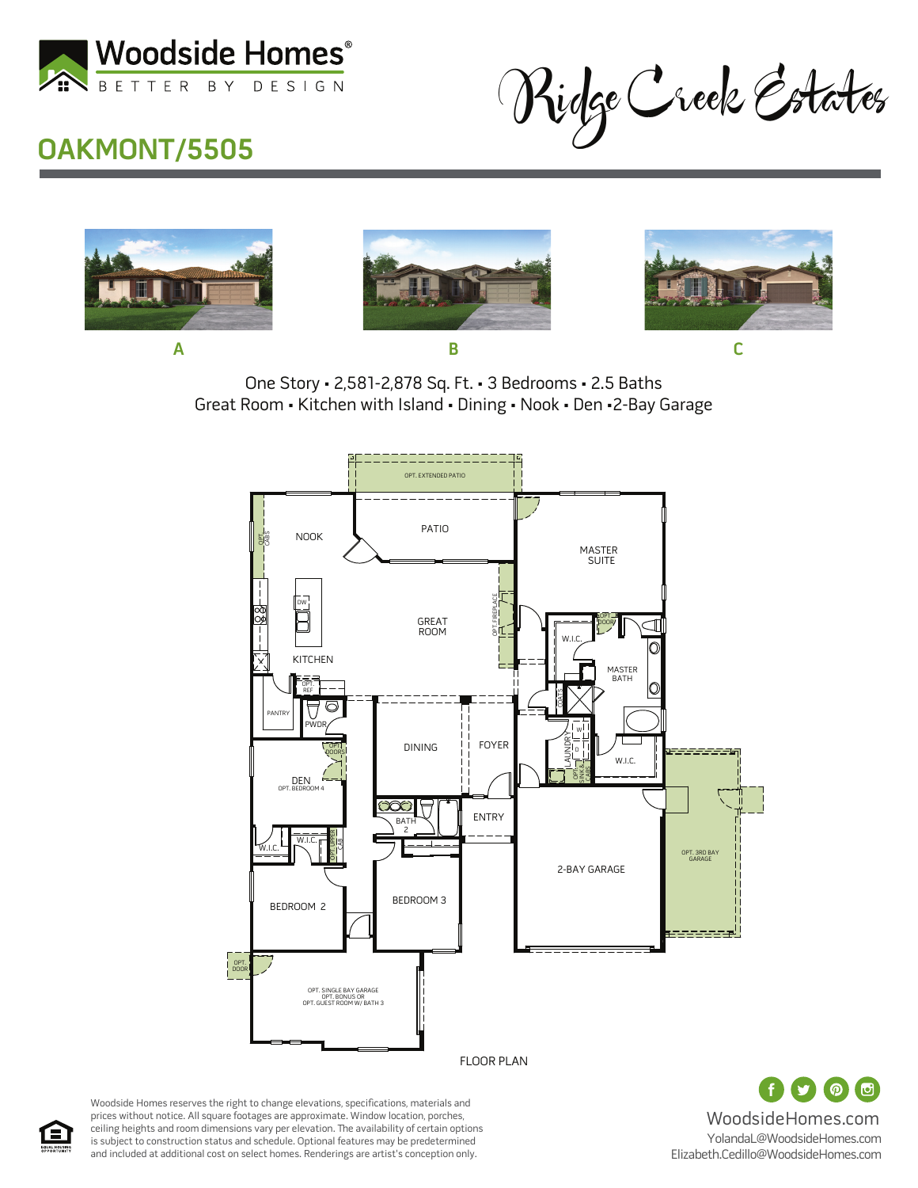

Ridge Creek Estates

#### **OAKMONT/5505**







One Story • 2,581-2,878 Sq. Ft. • 3 Bedrooms • 2.5 Baths Great Room • Kitchen with Island • Dining • Nook • Den •2-Bay Garage





Woodside Homes reserves the right to change elevations, specifications, materials and prices without notice. All square footages are approximate. Window location, porches, ceiling heights and room dimensions vary per elevation. The availability of certain options is subject to construction status and schedule. Optional features may be predetermined and included at additional cost on select homes. Renderings are artist's conception only.

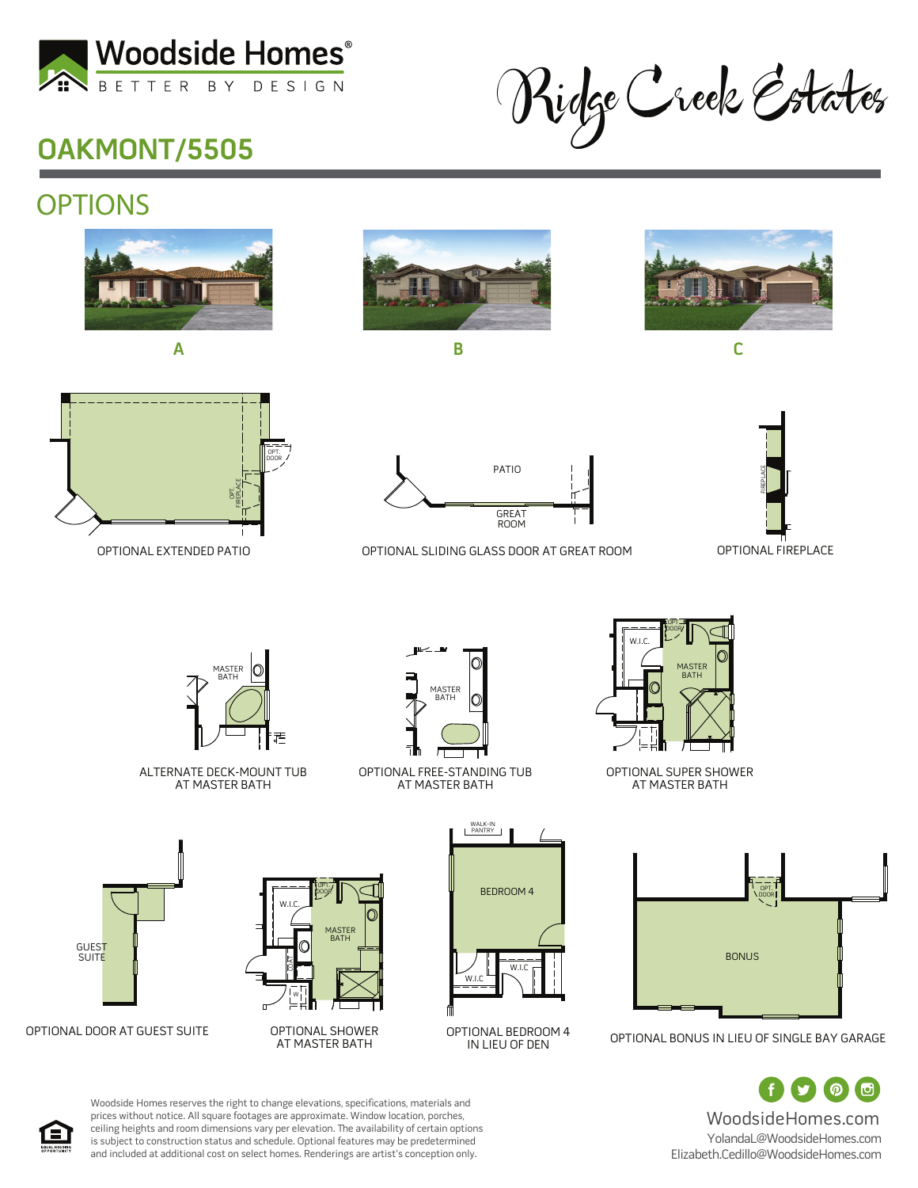

Ridge Creek Estates

# **OAKMONT/5505**

## **OPTIONS**











OPTIONAL SLIDING GLASS DOOR AT GREAT ROOM



MASTER ∩ BATH

ALTERNATE DECK-MOUNT TUB AT MASTER BATH



OPTIONAL FREE-STANDING TUB AT MASTER BATH



OPTIONAL SUPER SHOWER AT MASTER BATH



OPTIONAL BONUS IN LIEU OF SINGLE BAY GARAGE

 $\odot$ (可 WoodsideHomes.com YolandaL@WoodsideHomes.com Elizabeth.Cedillo@WoodsideHomes.com



OPTIONAL DOOR AT GUEST SUITE

GUEST **SUITE** 





WALK-IN PANTRY

IN LIEU OF DEN



Woodside Homes reserves the right to change elevations, specifications, materials and prices without notice. All square footages are approximate. Window location, porches, ceiling heights and room dimensions vary per elevation. The availability of certain options is subject to construction status and schedule. Optional features may be predetermined and included at additional cost on select homes. Renderings are artist's conception only.